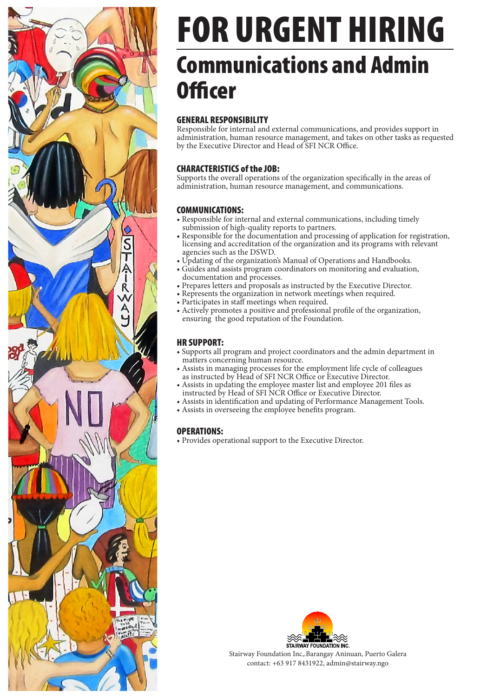

## FOR URGENT HIRING Communications and Admin Officer

### GENERAL RESPONSIBILITY

Responsible for internal and external communications, and provides support in administration, human resource management, and takes on other tasks as requested by the Executive Director and Head of SFI NCR Office.

#### CHARACTERISTICS of the JOB:

Supports the overall operations of the organization specifically in the areas of administration, human resource management, and communications.

#### COMMUNICATIONS:

- Responsible for internal and external communications, including timely submission of high-quality reports to partners.
- Responsible for the documentation and processing of application for registration, licensing and accreditation of the organization and its programs with relevant agencies such as the DSWD.
- Updating of the organization's Manual of Operations and Handbooks.
- Guides and assists program coordinators on monitoring and evaluation, documentation and processes.
- Prepares letters and proposals as instructed by the Executive Director.
- Represents the organization in network meetings when required.
- Participates in staff meetings when required.
- Actively promotes a positive and professional profile of the organization, ensuring the good reputation of the Foundation.

#### HR SUPPORT:

- Supports all program and project coordinators and the admin department in matters concerning human resource.
- Assists in managing processes for the employment life cycle of colleagues as instructed by Head of SFI NCR Office or Executive Director.
- Assists in updating the employee master list and employee 201 files as instructed by Head of SFI NCR Office or Executive Director.
- Assists in identification and updating of Performance Management Tools.
- Assists in overseeing the employee benefits program.

#### OPERATIONS:

• Provides operational support to the Executive Director.



Stairway Foundation Inc,.Barangay Aninuan, Puerto Galera contact: +63 917 8431922, admin@stairway.ngo